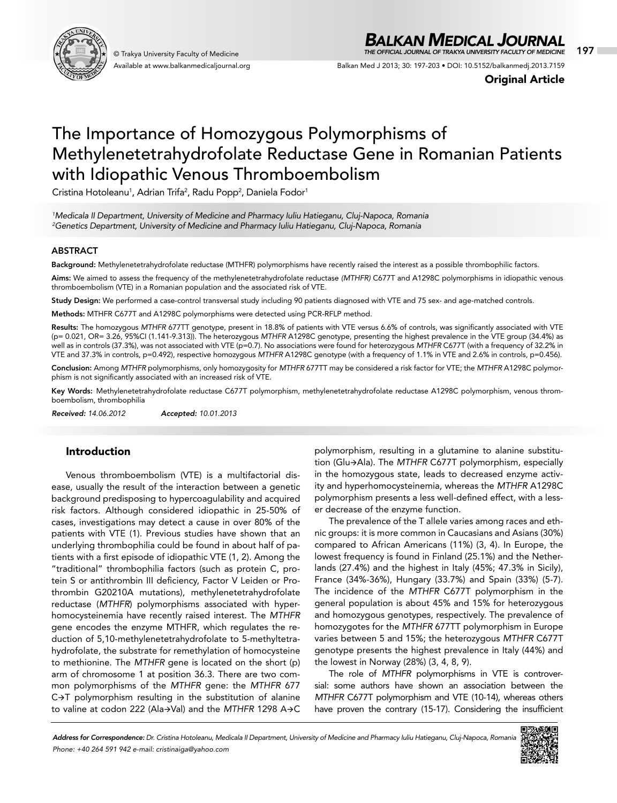

Available at www.balkanmedicaljournal.org

## *BALKAN MEDICAL JOURNAL*

© Trakya University Faculty of Medicine 197 *THE OFFICIAL JOURNAL OF TRAKYA UNIVERSITY FACULTY OF MEDICINE*

Balkan Med J 2013; 30: 197-203 • DOI: 10.5152/balkanmedj.2013.7159

Original Article

# The Importance of Homozygous Polymorphisms of Methylenetetrahydrofolate Reductase Gene in Romanian Patients with Idiopathic Venous Thromboembolism

Cristina Hotoleanu<sup>1</sup>, Adrian Trifa<sup>2</sup>, Radu Popp<sup>2</sup>, Daniela Fodor<sup>1</sup>

*1 Medicala II Department, University of Medicine and Pharmacy Iuliu Hatieganu, Cluj-Napoca, Romania 2 Genetics Department, University of Medicine and Pharmacy Iuliu Hatieganu, Cluj-Napoca, Romania*

#### ABSTRACT

Background: Methylenetetrahydrofolate reductase (MTHFR) polymorphisms have recently raised the interest as a possible thrombophilic factors.

Aims: We aimed to assess the frequency of the methylenetetrahydrofolate reductase *(MTHFR)* C677T and A1298C polymorphisms in idiopathic venous thromboembolism (VTE) in a Romanian population and the associated risk of VTE.

Study Design: We performed a case-control transversal study including 90 patients diagnosed with VTE and 75 sex- and age-matched controls.

Methods: MTHFR C677T and A1298C polymorphisms were detected using PCR-RFLP method.

Results: The homozygous *MTHFR* 677TT genotype, present in 18.8% of patients with VTE versus 6.6% of controls, was significantly associated with VTE (p= 0.021, OR= 3.26, 95%CI (1.141-9.313)). The heterozygous *MTHFR* A1298C genotype, presenting the highest prevalence in the VTE group (34.4%) as well as in controls (37.3%), was not associated with VTE (p=0.7). No associations were found for heterozygous *MTHFR* C677T (with a frequency of 32.2% in VTE and 37.3% in controls, p=0.492), respective homozygous *MTHFR* A1298C genotype (with a frequency of 1.1% in VTE and 2.6% in controls, p=0.456).

Conclusion: Among *MTHFR* polymorphisms, only homozygosity for *MTHFR* 677TT may be considered a risk factor for VTE; the *MTHFR* A1298C polymorphism is not significantly associated with an increased risk of VTE.

Key Words: Methylenetetrahydrofolate reductase C677T polymorphism, methylenetetrahydrofolate reductase A1298C polymorphism, venous thromboembolism, thrombophilia

*Received: 14.06.2012 Accepted: 10.01.2013*

### Introduction

Venous thromboembolism (VTE) is a multifactorial disease, usually the result of the interaction between a genetic background predisposing to hypercoagulability and acquired risk factors. Although considered idiopathic in 25-50% of cases, investigations may detect a cause in over 80% of the patients with VTE (1). Previous studies have shown that an underlying thrombophilia could be found in about half of patients with a first episode of idiopathic VTE (1, 2). Among the "traditional" thrombophilia factors (such as protein C, protein S or antithrombin III deficiency, Factor V Leiden or Prothrombin G20210A mutations), methylenetetrahydrofolate reductase (*MTHFR*) polymorphisms associated with hyperhomocysteinemia have recently raised interest. The *MTHFR* gene encodes the enzyme MTHFR, which regulates the reduction of 5,10-methylenetetrahydrofolate to 5-methyltetrahydrofolate, the substrate for remethylation of homocysteine to methionine. The *MTHFR* gene is located on the short (p) arm of chromosome 1 at position 36.3. There are two common polymorphisms of the *MTHFR* gene: the *MTHFR* 677  $C \rightarrow T$  polymorphism resulting in the substitution of alanine to valine at codon 222 (Ala+Val) and the MTHFR 1298 A+C

polymorphism, resulting in a glutamine to alanine substitution (Glu $\rightarrow$ Ala). The *MTHFR* C677T polymorphism, especially in the homozygous state, leads to decreased enzyme activity and hyperhomocysteinemia, whereas the *MTHFR* A1298C polymorphism presents a less well-defined effect, with a lesser decrease of the enzyme function.

The prevalence of the T allele varies among races and ethnic groups: it is more common in Caucasians and Asians (30%) compared to African Americans (11%) (3, 4). In Europe, the lowest frequency is found in Finland (25.1%) and the Netherlands (27.4%) and the highest in Italy (45%; 47.3% in Sicily), France (34%-36%), Hungary (33.7%) and Spain (33%) (5-7). The incidence of the *MTHFR* C677T polymorphism in the general population is about 45% and 15% for heterozygous and homozygous genotypes, respectively. The prevalence of homozygotes for the *MTHFR* 677TT polymorphism in Europe varies between 5 and 15%; the heterozygous *MTHFR* C677T genotype presents the highest prevalence in Italy (44%) and the lowest in Norway (28%) (3, 4, 8, 9).

The role of *MTHFR* polymorphisms in VTE is controversial: some authors have shown an association between the *MTHFR* C677T polymorphism and VTE (10-14), whereas others have proven the contrary (15-17). Considering the insufficient

*Address for Correspondence: Dr. Cristina Hotoleanu, Medicala II Department, University of Medicine and Pharmacy Iuliu Hatieganu, Cluj-Napoca, Romania Phone: +40 264 591 942 e-mail: cristinaiga@yahoo.com*

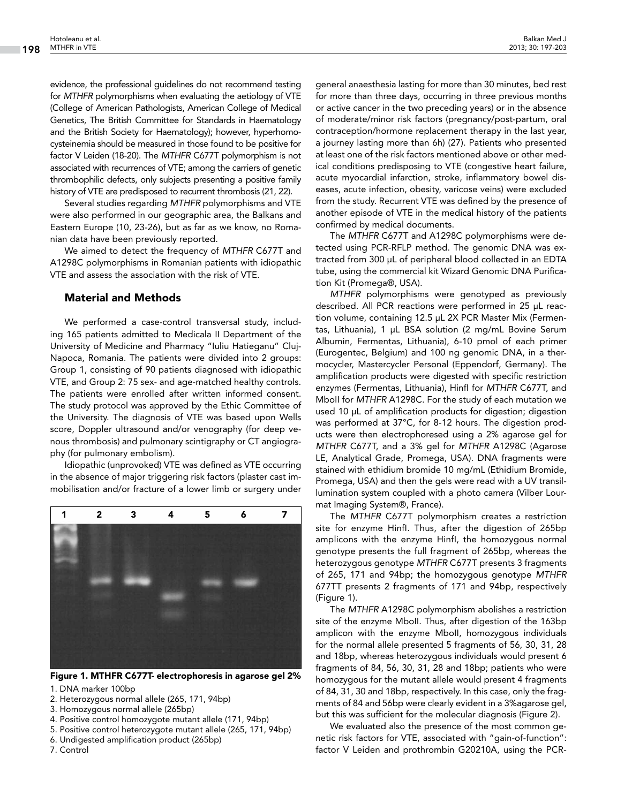evidence, the professional guidelines do not recommend testing for *MTHFR* polymorphisms when evaluating the aetiology of VTE (College of American Pathologists, American College of Medical Genetics, The British Committee for Standards in Haematology and the British Society for Haematology); however, hyperhomocysteinemia should be measured in those found to be positive for factor V Leiden (18-20). The *MTHFR* C677T polymorphism is not associated with recurrences of VTE; among the carriers of genetic thrombophilic defects, only subjects presenting a positive family history of VTE are predisposed to recurrent thrombosis (21, 22).

Several studies regarding *MTHFR* polymorphisms and VTE were also performed in our geographic area, the Balkans and Eastern Europe (10, 23-26), but as far as we know, no Romanian data have been previously reported.

We aimed to detect the frequency of *MTHFR* C677T and A1298C polymorphisms in Romanian patients with idiopathic VTE and assess the association with the risk of VTE.

#### Material and Methods

We performed a case-control transversal study, including 165 patients admitted to Medicala II Department of the University of Medicine and Pharmacy "Iuliu Hatieganu" Cluj-Napoca, Romania. The patients were divided into 2 groups: Group 1, consisting of 90 patients diagnosed with idiopathic VTE, and Group 2: 75 sex- and age-matched healthy controls. The patients were enrolled after written informed consent. The study protocol was approved by the Ethic Committee of the University. The diagnosis of VTE was based upon Wells score, Doppler ultrasound and/or venography (for deep venous thrombosis) and pulmonary scintigraphy or CT angiography (for pulmonary embolism).

Idiopathic (unprovoked) VTE was defined as VTE occurring in the absence of major triggering risk factors (plaster cast immobilisation and/or fracture of a lower limb or surgery under



Figure 1. MTHFR C677T- electrophoresis in agarose gel 2%

1. DNA marker 100bp

- 2. Heterozygous normal allele (265, 171, 94bp)
- 3. Homozygous normal allele (265bp)
- 4. Positive control homozygote mutant allele (171, 94bp)
- 5. Positive control heterozygote mutant allele (265, 171, 94bp)
- 6. Undigested amplification product (265bp)

7. Control

general anaesthesia lasting for more than 30 minutes, bed rest for more than three days, occurring in three previous months or active cancer in the two preceding years) or in the absence of moderate/minor risk factors (pregnancy/post-partum, oral contraception/hormone replacement therapy in the last year, a journey lasting more than 6h) (27). Patients who presented at least one of the risk factors mentioned above or other medical conditions predisposing to VTE (congestive heart failure, acute myocardial infarction, stroke, inflammatory bowel diseases, acute infection, obesity, varicose veins) were excluded from the study. Recurrent VTE was defined by the presence of another episode of VTE in the medical history of the patients confirmed by medical documents.

The *MTHFR* C677T and A1298C polymorphisms were detected using PCR-RFLP method. The genomic DNA was extracted from 300 µL of peripheral blood collected in an EDTA tube, using the commercial kit Wizard Genomic DNA Purification Kit (Promega®, USA).

*MTHFR* polymorphisms were genotyped as previously described. All PCR reactions were performed in 25 µL reaction volume, containing 12.5 µL 2X PCR Master Mix (Fermentas, Lithuania), 1 µL BSA solution (2 mg/mL Bovine Serum Albumin, Fermentas, Lithuania), 6-10 pmol of each primer (Eurogentec, Belgium) and 100 ng genomic DNA, in a thermocycler, Mastercycler Personal (Eppendorf, Germany). The amplification products were digested with specific restriction enzymes (Fermentas, Lithuania), HinfI for *MTHFR* C677T, and MboII for *MTHFR* A1298C. For the study of each mutation we used 10 µL of amplification products for digestion; digestion was performed at 37°C, for 8-12 hours. The digestion products were then electrophoresed using a 2% agarose gel for *MTHFR* C677T, and a 3% gel for *MTHFR* A1298C (Agarose LE, Analytical Grade, Promega, USA). DNA fragments were stained with ethidium bromide 10 mg/mL (Ethidium Bromide, Promega, USA) and then the gels were read with a UV transillumination system coupled with a photo camera (Vilber Lourmat Imaging System®, France).

The *MTHFR* C677T polymorphism creates a restriction site for enzyme HinfI. Thus, after the digestion of 265bp amplicons with the enzyme HinfI, the homozygous normal genotype presents the full fragment of 265bp, whereas the heterozygous genotype *MTHFR* C677T presents 3 fragments of 265, 171 and 94bp; the homozygous genotype *MTHFR* 677TT presents 2 fragments of 171 and 94bp, respectively (Figure 1).

The *MTHFR* A1298C polymorphism abolishes a restriction site of the enzyme MboII. Thus, after digestion of the 163bp amplicon with the enzyme MboII, homozygous individuals for the normal allele presented 5 fragments of 56, 30, 31, 28 and 18bp, whereas heterozygous individuals would present 6 fragments of 84, 56, 30, 31, 28 and 18bp; patients who were homozygous for the mutant allele would present 4 fragments of 84, 31, 30 and 18bp, respectively. In this case, only the fragments of 84 and 56bp were clearly evident in a 3%agarose gel, but this was sufficient for the molecular diagnosis (Figure 2).

We evaluated also the presence of the most common genetic risk factors for VTE, associated with "gain-of-function": factor V Leiden and prothrombin G20210A, using the PCR-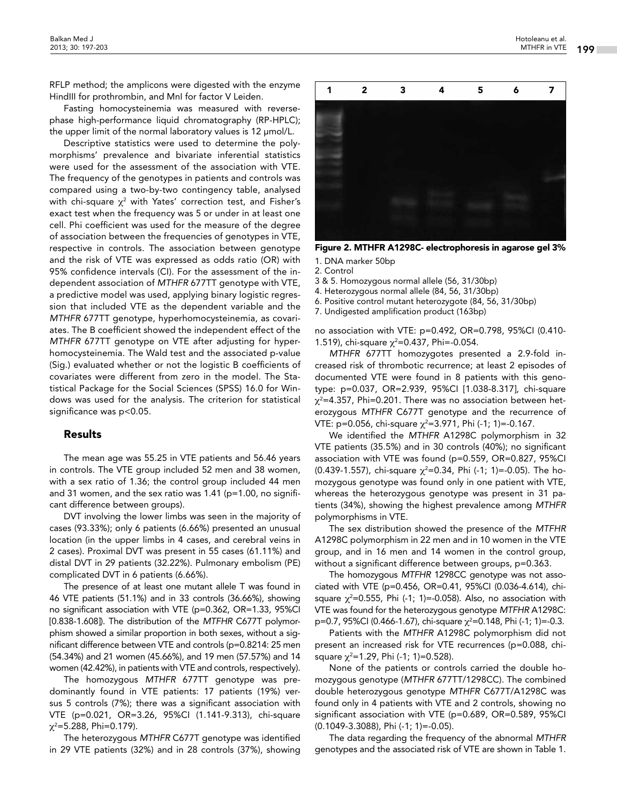RFLP method; the amplicons were digested with the enzyme HindIII for prothrombin, and MnI for factor V Leiden.

Fasting homocysteinemia was measured with reversephase high-performance liquid chromatography (RP-HPLC); the upper limit of the normal laboratory values is 12 μmol/L.

Descriptive statistics were used to determine the polymorphisms' prevalence and bivariate inferential statistics were used for the assessment of the association with VTE. The frequency of the genotypes in patients and controls was compared using a two-by-two contingency table, analysed with chi-square  $\chi^2$  with Yates' correction test, and Fisher's exact test when the frequency was 5 or under in at least one cell. Phi coefficient was used for the measure of the degree of association between the frequencies of genotypes in VTE, respective in controls. The association between genotype and the risk of VTE was expressed as odds ratio (OR) with 95% confidence intervals (CI). For the assessment of the independent association of *MTHFR* 677TT genotype with VTE, a predictive model was used, applying binary logistic regression that included VTE as the dependent variable and the *MTHFR* 677TT genotype, hyperhomocysteinemia, as covariates. The B coefficient showed the independent effect of the *MTHFR* 677TT genotype on VTE after adjusting for hyperhomocysteinemia. The Wald test and the associated p-value (Sig.) evaluated whether or not the logistic B coefficients of covariates were different from zero in the model. The Statistical Package for the Social Sciences (SPSS) 16.0 for Windows was used for the analysis. The criterion for statistical significance was p<0.05.

#### Results

The mean age was 55.25 in VTE patients and 56.46 years in controls. The VTE group included 52 men and 38 women, with a sex ratio of 1.36; the control group included 44 men and 31 women, and the sex ratio was 1.41 (p=1.00, no significant difference between groups).

DVT involving the lower limbs was seen in the majority of cases (93.33%); only 6 patients (6.66%) presented an unusual location (in the upper limbs in 4 cases, and cerebral veins in 2 cases). Proximal DVT was present in 55 cases (61.11%) and distal DVT in 29 patients (32.22%). Pulmonary embolism (PE) complicated DVT in 6 patients (6.66%).

The presence of at least one mutant allele T was found in 46 VTE patients (51.1%) and in 33 controls (36.66%), showing no significant association with VTE (p=0.362, OR=1.33, 95%CI [0.838-1.608]). The distribution of the *MTFHR* C677T polymorphism showed a similar proportion in both sexes, without a significant difference between VTE and controls (p=0.8214: 25 men (54.34%) and 21 women (45.66%), and 19 men (57.57%) and 14 women (42.42%), in patients with VTE and controls, respectively).

The homozygous *MTHFR* 677TT genotype was predominantly found in VTE patients: 17 patients (19%) versus 5 controls (7%); there was a significant association with VTE (p=0.021, OR=3.26, 95%CI (1.141-9.313), chi-square χ2 =5.288, Phi=0.179).

The heterozygous *MTHFR* C677T genotype was identified in 29 VTE patients (32%) and in 28 controls (37%), showing

Figure 2. MTHFR A1298C- electrophoresis in agarose gel 3% 1. DNA marker 50bp

2. Control

3 & 5. Homozygous normal allele (56, 31/30bp)

4. Heterozygous normal allele (84, 56, 31/30bp)

6. Positive control mutant heterozygote (84, 56, 31/30bp)

7. Undigested amplification product (163bp)

no association with VTE: p=0.492, OR=0.798, 95%CI (0.410- 1.519), chi-square  $\chi^2$ =0.437, Phi=-0.054.

*MTHFR* 677TT homozygotes presented a 2.9-fold increased risk of thrombotic recurrence; at least 2 episodes of documented VTE were found in 8 patients with this genotype: p=0.037, OR=2.939, 95%CI [1.038-8.317], chi-square  $\chi^2$ =4.357, Phi=0.201. There was no association between heterozygous *MTHFR* C677T genotype and the recurrence of VTE: p=0.056, chi-square  $\chi^2$ =3.971, Phi (-1; 1)=-0.167.

We identified the *MTHFR* A1298C polymorphism in 32 VTE patients (35.5%) and in 30 controls (40%); no significant association with VTE was found (p=0.559, OR=0.827, 95%CI (0.439-1.557), chi-square  $\chi^2$ =0.34, Phi (-1; 1)=-0.05). The homozygous genotype was found only in one patient with VTE, whereas the heterozygous genotype was present in 31 patients (34%), showing the highest prevalence among *MTHFR*  polymorphisms in VTE.

The sex distribution showed the presence of the *MTFHR*  A1298C polymorphism in 22 men and in 10 women in the VTE group, and in 16 men and 14 women in the control group, without a significant difference between groups, p=0.363.

The homozygous *MTFHR* 1298CC genotype was not associated with VTE (p=0.456, OR=0.41, 95%CI (0.036-4.614), chisquare  $\chi^2$ =0.555, Phi (-1; 1)=-0.058). Also, no association with VTE was found for the heterozygous genotype *MTFHR* A1298C: p=0.7, 95%CI (0.466-1.67), chi-square χ<sup>2</sup>=0.148, Phi (-1; 1)=-0.3.

Patients with the *MTHFR* A1298C polymorphism did not present an increased risk for VTE recurrences (p=0.088, chisquare  $\chi^2$ =1.29, Phi (-1; 1)=0.528).

None of the patients or controls carried the double homozygous genotype (*MTHFR* 677TT/1298CC). The combined double heterozygous genotype *MTHFR* C677T/A1298C was found only in 4 patients with VTE and 2 controls, showing no significant association with VTE (p=0.689, OR=0.589, 95%CI (0.1049-3.3088), Phi (-1; 1)=-0.05).

The data regarding the frequency of the abnormal *MTHFR* genotypes and the associated risk of VTE are shown in Table 1.

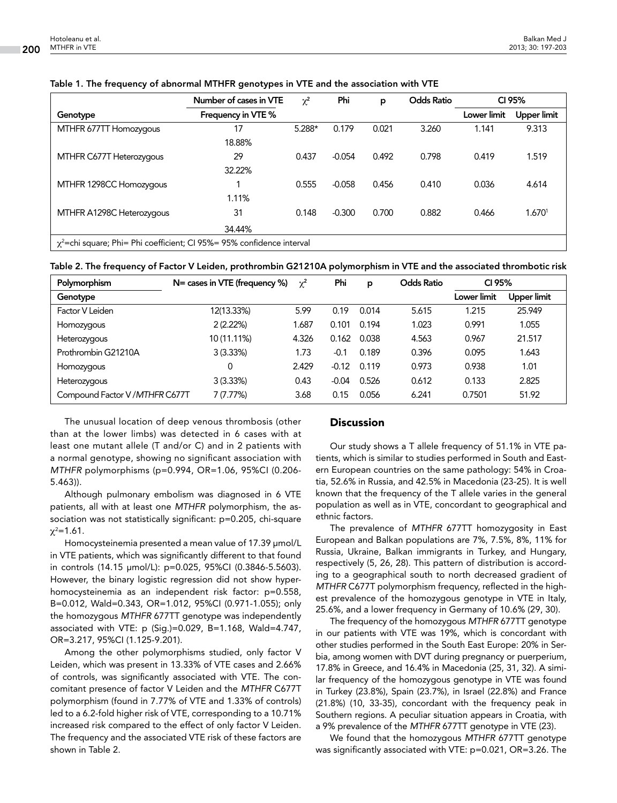|                                                                             | Number of cases in VTE | $\chi^2$ | Phi      | p     | <b>Odds Ratio</b> | CI 95%      |                    |
|-----------------------------------------------------------------------------|------------------------|----------|----------|-------|-------------------|-------------|--------------------|
| Genotype                                                                    | Frequency in VTE %     |          |          |       |                   | Lower limit | <b>Upper limit</b> |
| MTHFR 677TT Homozygous                                                      | 17                     | 5.288*   | 0.179    | 0.021 | 3.260             | 1.141       | 9.313              |
|                                                                             | 18.88%                 |          |          |       |                   |             |                    |
| MTHFR C677T Heterozygous                                                    | 29                     | 0.437    | $-0.054$ | 0.492 | 0.798             | 0.419       | 1.519              |
|                                                                             | 32.22%                 |          |          |       |                   |             |                    |
| MTHFR 1298CC Homozygous                                                     |                        | 0.555    | $-0.058$ | 0.456 | 0.410             | 0.036       | 4.614              |
|                                                                             | 1.11%                  |          |          |       |                   |             |                    |
| MTHFR A1298C Heterozygous                                                   | 31                     | 0.148    | $-0.300$ | 0.700 | 0.882             | 0.466       | 1.6701             |
|                                                                             | 34.44%                 |          |          |       |                   |             |                    |
| $\chi^2$ =chi square; Phi= Phi coefficient; CI 95%= 95% confidence interval |                        |          |          |       |                   |             |                    |

#### Table 1. The frequency of abnormal MTHFR genotypes in VTE and the association with VTE

| Table 2. The frequency of Factor V Leiden, prothrombin G21210A polymorphism in VTE and the associated thrombotic risk |  |  |  |
|-----------------------------------------------------------------------------------------------------------------------|--|--|--|
|-----------------------------------------------------------------------------------------------------------------------|--|--|--|

| Polymorphism                    | $N = \text{cases}$ in VTE (frequency %) | $\chi^2$ | Phi     | p     | <b>Odds Ratio</b> | CI 95%      |             |
|---------------------------------|-----------------------------------------|----------|---------|-------|-------------------|-------------|-------------|
| Genotype                        |                                         |          |         |       |                   | Lower limit | Upper limit |
| Factor V Leiden                 | 12(13.33%)                              | 5.99     | 0.19    | 0.014 | 5.615             | 1.215       | 25.949      |
| Homozygous                      | 2(2.22%)                                | 1.687    | 0.101   | 0.194 | 1.023             | 0.991       | 1.055       |
| Heterozygous                    | 10 (11.11%)                             | 4.326    | 0.162   | 0.038 | 4.563             | 0.967       | 21.517      |
| Prothrombin G21210A             | 3(3.33%)                                | 1.73     | $-0.1$  | 0.189 | 0.396             | 0.095       | 1.643       |
| Homozygous                      | 0                                       | 2.429    | $-0.12$ | 0.119 | 0.973             | 0.938       | 1.01        |
| Heterozygous                    | 3(3.33%)                                | 0.43     | $-0.04$ | 0.526 | 0.612             | 0.133       | 2.825       |
| Compound Factor V / MTHFR C677T | 7(7.77%)                                | 3.68     | 0.15    | 0.056 | 6.241             | 0.7501      | 51.92       |

The unusual location of deep venous thrombosis (other than at the lower limbs) was detected in 6 cases with at least one mutant allele (T and/or C) and in 2 patients with a normal genotype, showing no significant association with *MTHFR* polymorphisms (p=0.994, OR=1.06, 95%CI (0.206- 5.463)).

Although pulmonary embolism was diagnosed in 6 VTE patients, all with at least one *MTHFR* polymorphism, the association was not statistically significant: p=0.205, chi-square χ<sup>2</sup>=1.61.

Homocysteinemia presented a mean value of 17.39 μmol/L in VTE patients, which was significantly different to that found in controls (14.15 μmol/L): p=0.025, 95%CI (0.3846-5.5603). However, the binary logistic regression did not show hyperhomocysteinemia as an independent risk factor: p=0.558, B=0.012, Wald=0.343, OR=1.012, 95%CI (0.971-1.055); only the homozygous *MTHFR* 677TT genotype was independently associated with VTE: p (Sig.)=0.029, B=1.168, Wald=4.747, OR=3.217, 95%CI (1.125-9.201).

Among the other polymorphisms studied, only factor V Leiden, which was present in 13.33% of VTE cases and 2.66% of controls, was significantly associated with VTE. The concomitant presence of factor V Leiden and the *MTHFR* C677T polymorphism (found in 7.77% of VTE and 1.33% of controls) led to a 6.2-fold higher risk of VTE, corresponding to a 10.71% increased risk compared to the effect of only factor V Leiden. The frequency and the associated VTE risk of these factors are shown in Table 2.

### **Discussion**

Our study shows a T allele frequency of 51.1% in VTE patients, which is similar to studies performed in South and Eastern European countries on the same pathology: 54% in Croatia, 52.6% in Russia, and 42.5% in Macedonia (23-25). It is well known that the frequency of the T allele varies in the general population as well as in VTE, concordant to geographical and ethnic factors.

The prevalence of *MTHFR* 677TT homozygosity in East European and Balkan populations are 7%, 7.5%, 8%, 11% for Russia, Ukraine, Balkan immigrants in Turkey, and Hungary, respectively (5, 26, 28). This pattern of distribution is according to a geographical south to north decreased gradient of *MTHFR* C677T polymorphism frequency, reflected in the highest prevalence of the homozygous genotype in VTE in Italy, 25.6%, and a lower frequency in Germany of 10.6% (29, 30).

The frequency of the homozygous *MTHFR* 677TT genotype in our patients with VTE was 19%, which is concordant with other studies performed in the South East Europe: 20% in Serbia, among women with DVT during pregnancy or puerperium, 17.8% in Greece, and 16.4% in Macedonia (25, 31, 32). A similar frequency of the homozygous genotype in VTE was found in Turkey (23.8%), Spain (23.7%), in Israel (22.8%) and France (21.8%) (10, 33-35), concordant with the frequency peak in Southern regions. A peculiar situation appears in Croatia, with a 9% prevalence of the *MTHFR* 677TT genotype in VTE (23).

We found that the homozygous *MTHFR* 677TT genotype was significantly associated with VTE: p=0.021, OR=3.26. The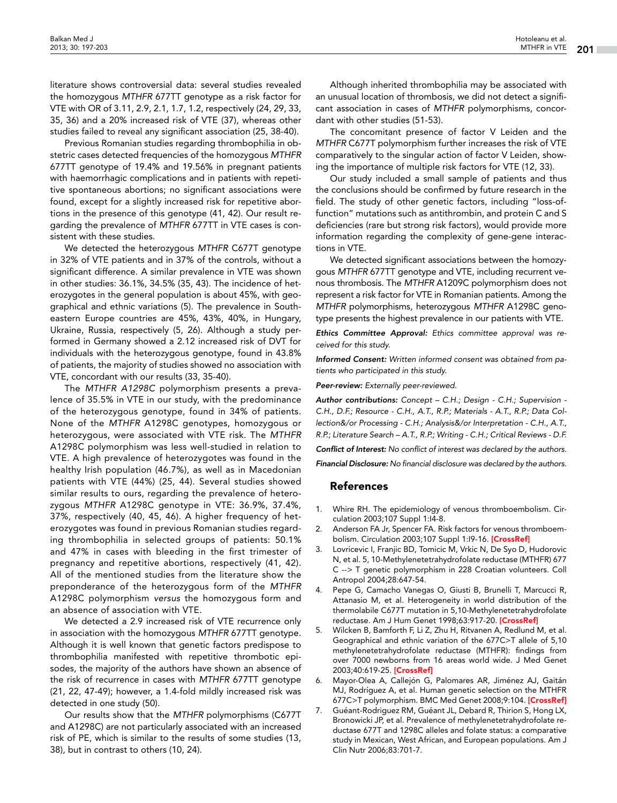literature shows controversial data: several studies revealed the homozygous *MTHFR* 677TT genotype as a risk factor for VTE with OR of 3.11, 2.9, 2.1, 1.7, 1.2, respectively (24, 29, 33, 35, 36) and a 20% increased risk of VTE (37), whereas other studies failed to reveal any significant association (25, 38-40).

Previous Romanian studies regarding thrombophilia in obstetric cases detected frequencies of the homozygous *MTHFR* 677TT genotype of 19.4% and 19.56% in pregnant patients with haemorrhagic complications and in patients with repetitive spontaneous abortions; no significant associations were found, except for a slightly increased risk for repetitive abortions in the presence of this genotype (41, 42). Our result regarding the prevalence of *MTHFR* 677TT in VTE cases is consistent with these studies.

We detected the heterozygous *MTHFR* C677T genotype in 32% of VTE patients and in 37% of the controls, without a significant difference. A similar prevalence in VTE was shown in other studies: 36.1%, 34.5% (35, 43). The incidence of heterozygotes in the general population is about 45%, with geographical and ethnic variations (5). The prevalence in Southeastern Europe countries are 45%, 43%, 40%, in Hungary, Ukraine, Russia, respectively (5, 26). Although a study performed in Germany showed a 2.12 increased risk of DVT for individuals with the heterozygous genotype, found in 43.8% of patients, the majority of studies showed no association with VTE, concordant with our results (33, 35-40).

The *MTHFR A1298C* polymorphism presents a prevalence of 35.5% in VTE in our study, with the predominance of the heterozygous genotype, found in 34% of patients. None of the *MTHFR* A1298C genotypes, homozygous or heterozygous, were associated with VTE risk. The *MTHFR* A1298C polymorphism was less well-studied in relation to VTE. A high prevalence of heterozygotes was found in the healthy Irish population (46.7%), as well as in Macedonian patients with VTE (44%) (25, 44). Several studies showed similar results to ours, regarding the prevalence of heterozygous *MTHFR* A1298C genotype in VTE: 36.9%, 37.4%, 37%, respectively (40, 45, 46). A higher frequency of heterozygotes was found in previous Romanian studies regarding thrombophilia in selected groups of patients: 50.1% and 47% in cases with bleeding in the first trimester of pregnancy and repetitive abortions, respectively (41, 42). All of the mentioned studies from the literature show the preponderance of the heterozygous form of the *MTHFR* A1298C polymorphism *versus* the homozygous form and an absence of association with VTE.

We detected a 2.9 increased risk of VTE recurrence only in association with the homozygous *MTHFR* 677TT genotype. Although it is well known that genetic factors predispose to thrombophilia manifested with repetitive thrombotic episodes, the majority of the authors have shown an absence of the risk of recurrence in cases with *MTHFR* 677TT genotype (21, 22, 47-49); however, a 1.4-fold mildly increased risk was detected in one study (50).

Our results show that the *MTHFR* polymorphisms (C677T and A1298C) are not particularly associated with an increased risk of PE, which is similar to the results of some studies (13, 38), but in contrast to others (10, 24).

Although inherited thrombophilia may be associated with an unusual location of thrombosis, we did not detect a significant association in cases of *MTHFR* polymorphisms, concordant with other studies (51-53).

The concomitant presence of factor V Leiden and the *MTHFR* C677T polymorphism further increases the risk of VTE comparatively to the singular action of factor V Leiden, showing the importance of multiple risk factors for VTE (12, 33).

Our study included a small sample of patients and thus the conclusions should be confirmed by future research in the field. The study of other genetic factors, including "loss-offunction" mutations such as antithrombin, and protein C and S deficiencies (rare but strong risk factors), would provide more information regarding the complexity of gene-gene interactions in VTE.

We detected significant associations between the homozygous *MTHFR* 677TT genotype and VTE, including recurrent venous thrombosis. The *MTHFR* A1209C polymorphism does not represent a risk factor for VTE in Romanian patients. Among the *MTHFR* polymorphisms, heterozygous *MTHFR* A1298C genotype presents the highest prevalence in our patients with VTE.

*Ethics Committee Approval: Ethics committee approval was received for this study.*

*Informed Consent: Written informed consent was obtained from patients who participated in this study.*

*Peer-review: Externally peer-reviewed.*

*Author contributions: Concept – C.H.; Design - C.H.; Supervision - C.H., D.F.; Resource - C.H., A.T., R.P.; Materials - A.T., R.P.; Data Collection&/or Processing - C.H.; Analysis&/or Interpretation - C.H., A.T., R.P.; Literature Search – A.T., R.P.; Writing - C.H.; Critical Reviews - D.F.*

*Conflict of Interest: No conflict of interest was declared by the authors.*

*Financial Disclosure: No financial disclosure was declared by the authors.*

#### References

- 1. Whire RH. The epidemiology of venous thromboembolism. Circulation 2003;107 Suppl 1:I4-8.
- 2. Anderson FA Jr, Spencer FA. Risk factors for venous thromboem-bolism. Circulation 2003;107 Suppl 1:19-16. [[CrossRef](http://dx.doi.org/10.1161/01.CIR.0000078469.07362.E6)]
- 3. Lovricevic I, Franjic BD, Tomicic M, Vrkic N, De Syo D, Hudorovic N, et al. 5, 10-Methylenetetrahydrofolate reductase (MTHFR) 677 C --> T genetic polymorphism in 228 Croatian volunteers. Coll Antropol 2004;28:647-54.
- 4. Pepe G, Camacho Vanegas O, Giusti B, Brunelli T, Marcucci R, Attanasio M, et al. Heterogeneity in world distribution of the thermolabile C677T mutation in 5,10-Methylenetetrahydrofolate reductase. Am J Hum Genet 1998;63:917-20. [[CrossRef](http://dx.doi.org/10.1086/302015)]
- 5. Wilcken B, Bamforth F, Li Z, Zhu H, Ritvanen A, Redlund M, et al. Geographical and ethnic variation of the 677C>T allele of 5,10 methylenetetrahydrofolate reductase (MTHFR): findings from over 7000 newborns from 16 areas world wide. J Med Genet 2003;40:619-25. [[CrossRef](http://dx.doi.org/10.1136/jmg.40.8.619)]
- 6. Mayor-Olea A, Callejón G, Palomares AR, Jiménez AJ, Gaitán MJ, Rodríguez A, et al. Human genetic selection on the MTHFR 677C>T polymorphism. BMC Med Genet 2008;9:104. [[CrossRef](http://dx.doi.org/10.1186/1471-2350-9-104)]
- 7. Guéant-Rodriguez RM, Guéant JL, Debard R, Thirion S, Hong LX, Bronowicki JP, et al. Prevalence of methylenetetrahydrofolate reductase 677T and 1298C alleles and folate status: a comparative study in Mexican, West African, and European populations. Am J Clin Nutr 2006;83:701-7.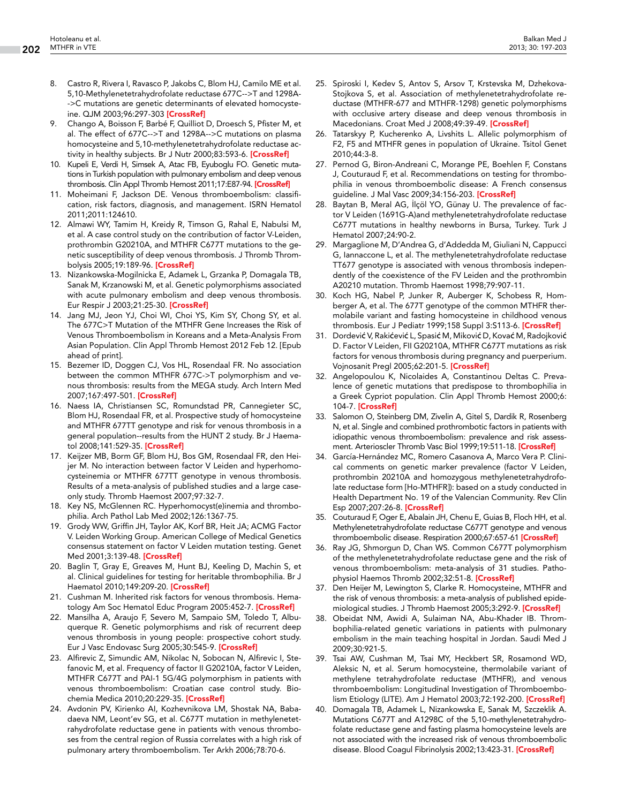- 8. Castro R, Rivera I, Ravasco P, Jakobs C, Blom HJ, Camilo ME et al. 5,10-Methylenetetrahydrofolate reductase 677C-->T and 1298A- ->C mutations are genetic determinants of elevated homocyste-ine. QJM 2003;96:297-303 [[CrossRef\]](http://dx.doi.org/10.1093/qjmed/hcg039)
- 9. Chango A, Boisson F, Barbé F, Quilliot D, Droesch S, Pfister M, et al. The effect of 677C-->T and 1298A-->C mutations on plasma homocysteine and 5,10-methylenetetrahydrofolate reductase ac-tivity in healthy subjects. Br J Nutr 2000;83:593-6. [[CrossRef](http://dx.doi.org/10.1017/S0007114500000751)]
- 10. Kupeli E, Verdi H, Simsek A, Atac FB, Eyuboglu FO. Genetic mutations in Turkish population with pulmonary embolism and deep venous thrombosis. Clin Appl Thromb Hemost 2011;17:E87-94. [\[CrossRef\]](http://dx.doi.org/10.1177/1076029610385224)
- 11. Moheimani F, Jackson DE. Venous thromboembolism: classification, risk factors, diagnosis, and management. ISRN Hematol 2011;2011:124610.
- 12. Almawi WY, Tamim H, Kreidy R, Timson G, Rahal E, Nabulsi M, et al. A case control study on the contribution of factor V-Leiden, prothrombin G20210A, and MTHFR C677T mutations to the genetic susceptibility of deep venous thrombosis. J Thromb Throm-bolysis 2005;19:189-96. [[CrossRef](http://dx.doi.org/10.1007/s11239-005-1313-x)]
- 13. Nizankowska-Mogilnicka E, Adamek L, Grzanka P, Domagala TB, Sanak M, Krzanowski M, et al. Genetic polymorphisms associated with acute pulmonary embolism and deep venous thrombosis. Eur Respir J 2003;21:25-30. [[CrossRef\]](http://dx.doi.org/10.1183/09031936.03.00034302)
- 14. Jang MJ, Jeon YJ, Choi WI, Choi YS, Kim SY, Chong SY, et al. The 677C>T Mutation of the MTHFR Gene Increases the Risk of Venous Thromboembolism in Koreans and a Meta-Analysis From Asian Population. Clin Appl Thromb Hemost 2012 Feb 12. [Epub ahead of print].
- 15. Bezemer ID, Doggen CJ, Vos HL, Rosendaal FR. No association between the common MTHFR 677C->T polymorphism and venous thrombosis: results from the MEGA study. Arch Intern Med 2007;167:497-501. [\[CrossRef\]](http://dx.doi.org/10.1001/archinte.167.5.497)
- 16. Naess IA, Christiansen SC, Romundstad PR, Cannegieter SC, Blom HJ, Rosendaal FR, et al. Prospective study of homocysteine and MTHFR 677TT genotype and risk for venous thrombosis in a general population--results from the HUNT 2 study. Br J Haematol 2008;141:529-35. [[CrossRef](http://dx.doi.org/10.1111/j.1365-2141.2008.07073.x)]
- 17. Keijzer MB, Borm GF, Blom HJ, Bos GM, Rosendaal FR, den Heijer M. No interaction between factor V Leiden and hyperhomocysteinemia or MTHFR 677TT genotype in venous thrombosis. Results of a meta-analysis of published studies and a large caseonly study. Thromb Haemost 2007;97:32-7.
- 18. Key NS, McGlennen RC. Hyperhomocyst(e)inemia and thrombophilia. Arch Pathol Lab Med 2002;126:1367-75.
- 19. Grody WW, Griffin JH, Taylor AK, Korf BR, Heit JA; ACMG Factor V. Leiden Working Group. American College of Medical Genetics consensus statement on factor V Leiden mutation testing. Genet Med 2001;3:139-48. [[CrossRef](http://dx.doi.org/10.1097/00125817-200103000-00009)]
- 20. Baglin T, Gray E, Greaves M, Hunt BJ, Keeling D, Machin S, et al. Clinical guidelines for testing for heritable thrombophilia. Br J Haematol 2010;149:209-20. [[CrossRef\]](http://dx.doi.org/10.1111/j.1365-2141.2009.08022.x)
- 21. Cushman M. Inherited risk factors for venous thrombosis. Hema-tology Am Soc Hematol Educ Program 2005:452-7. [\[CrossRef\]](http://dx.doi.org/10.1182/asheducation-2005.1.452)
- 22. Mansilha A, Araujo F, Severo M, Sampaio SM, Toledo T, Albuquerque R. Genetic polymorphisms and risk of recurrent deep venous thrombosis in young people: prospective cohort study. Eur J Vasc Endovasc Surg 2005;30:545-9. [\[CrossRef](http://dx.doi.org/10.1016/j.ejvs.2005.05.038)]
- 23. Alfirevic Z, Simundic AM, Nikolac N, Sobocan N, Alfirevic I, Stefanovic M, et al. Frequency of factor II G20210A, factor V Leiden, MTHFR C677T and PAI-1 5G/4G polymorphism in patients with venous thromboembolism: Croatian case control study. Biochemia Medica 2010;20:229-35. [\[CrossRef\]](http://dx.doi.org/10.11613/BM.2010.028)
- 24. Avdonin PV, Kirienko AI, Kozhevnikova LM, Shostak NA, Babadaeva NM, Leont'ev SG, et al. C677T mutation in methylenetetrahydrofolate reductase gene in patients with venous thromboses from the central region of Russia correlates with a high risk of pulmonary artery thromboembolism. Ter Arkh 2006;78:70-6.
- 25. Spiroski I, Kedev S, Antov S, Arsov T, Krstevska M, Dzhekova-Stojkova S, et al. Association of methylenetetrahydrofolate reductase (MTHFR-677 and MTHFR-1298) genetic polymorphisms with occlusive artery disease and deep venous thrombosis in Macedonians. Croat Med J 2008;49:39-49. [[CrossRef](http://dx.doi.org/10.3325/cmj.2008.1.39)]
- 26. Tatarskyy P, Kucherenko A, Livshits L. Allelic polymorphism of F2, F5 and MTHFR genes in population of Ukraine. Tsitol Genet 2010;44:3-8.
- 27. Pernod G, Biron-Andreani C, Morange PE, Boehlen F, Constans J, Couturaud F, et al. Recommendations on testing for thrombophilia in venous thromboembolic disease: A French consensus guideline. J Mal Vasc 2009;34:156-203. [[CrossRef](http://dx.doi.org/10.1016/j.jmv.2009.02.005)]
- 28. Baytan B, Meral AG, İlçöl YO, Günay U. The prevalence of factor V Leiden (1691G-A)and methylenetetrahydrofolate reductase C677T mutations in healthy newborns in Bursa, Turkey. Turk J Hematol 2007;24:90-2.
- 29. Margaglione M, D'Andrea G, d'Addedda M, Giuliani N, Cappucci G, Iannaccone L, et al. The methylenetetrahydrofolate reductase TT677 genotype is associated with venous thrombosis independently of the coexistence of the FV Leiden and the prothrombin A20210 mutation. Thromb Haemost 1998;79:907-11.
- 30. Koch HG, Nabel P, Junker R, Auberger K, Schobess R, Homberger A, et al. The 677T genotype of the common MTHFR thermolabile variant and fasting homocysteine in childhood venous thrombosis. Eur J Pediatr 1999;158 Suppl 3:S113-6. [\[CrossRef\]](http://dx.doi.org/10.1007/PL00014332)
- 31. Dordević V, Rakićević L, Spasić M, Miković D, Kovać M, Radojković D. Factor V Leiden, FII G20210A, MTHFR C677T mutations as risk factors for venous thrombosis during pregnancy and puerperium. Vojnosanit Pregl 2005;62:201-5. [\[CrossRef](http://dx.doi.org/10.2298/VSP0503201D)]
- 32. Angelopoulou K, Nicolaides A, Constantinou Deltas C. Prevalence of genetic mutations that predispose to thrombophilia in a Greek Cypriot population. Clin Appl Thromb Hemost 2000;6: 104-7. [\[CrossRef\]](http://dx.doi.org/10.1177/107602960000600211)
- 33. Salomon O, Steinberg DM, Zivelin A, Gitel S, Dardik R, Rosenberg N, et al. Single and combined prothrombotic factors in patients with idiopathic venous thromboembolism: prevalence and risk assess-ment. Arterioscler Thromb Vasc Biol 1999;19:511-18. [\[CrossRef\]](http://dx.doi.org/10.1161/01.ATV.19.3.511)
- 34. García-Hernández MC, Romero Casanova A, Marco Vera P. Clinical comments on genetic marker prevalence (factor V Leiden, prothrombin 20210A and homozygous methylenetetrahydrofolate reductase form [Ho-MTHFR]): based on a study conducted in Health Department No. 19 of the Valencian Community. Rev Clin Esp 2007;207:26-8. [\[CrossRef](http://dx.doi.org/10.1157/13098497)]
- 35. Couturaud F, Oger E, Abalain JH, Chenu E, Guias B, Floch HH, et al. Methylenetetrahydrofolate reductase C677T genotype and venous thromboembolic disease. Respiration 2000;67:657-61 [\[CrossRef](http://dx.doi.org/10.1159/000056296)]
- 36. Ray JG, Shmorgun D, Chan WS. Common C677T polymorphism of the methylenetetrahydrofolate reductase gene and the risk of venous thromboembolism: meta-analysis of 31 studies. Patho-physiol Haemos Thromb 2002;32:51-8. [\[CrossRef\]](http://dx.doi.org/10.1159/000065076)
- 37. Den Heijer M, Lewington S, Clarke R. Homocysteine, MTHFR and the risk of venous thrombosis: a meta-analysis of published epide-miological studies. J Thromb Haemost 2005;3:292-9. [\[CrossRef](http://dx.doi.org/10.1111/j.1538-7836.2005.01141.x)]
- 38. Obeidat NM, Awidi A, Sulaiman NA, Abu-Khader IB. Thrombophilia-related genetic variations in patients with pulmonary embolism in the main teaching hospital in Jordan. Saudi Med J 2009;30:921-5.
- 39. Tsai AW, Cushman M, Tsai MY, Heckbert SR, Rosamond WD, Aleksic N, et al. Serum homocysteine, thermolabile variant of methylene tetrahydrofolate reductase (MTHFR), and venous thromboembolism: Longitudinal Investigation of Thromboembo-lism Etiology (LITE). Am J Hematol 2003;72:192-200. [\[CrossRef\]](http://dx.doi.org/10.1002/ajh.10287)
- 40. Domagala TB, Adamek L, Nizankowska E, Sanak M, Szczeklik A. Mutations C677T and A1298C of the 5,10-methylenetetrahydrofolate reductase gene and fasting plasma homocysteine levels are not associated with the increased risk of venous thromboembolic disease. Blood Coagul Fibrinolysis 2002;13:423-31. [\[CrossRef](http://dx.doi.org/10.1097/00001721-200207000-00007)]